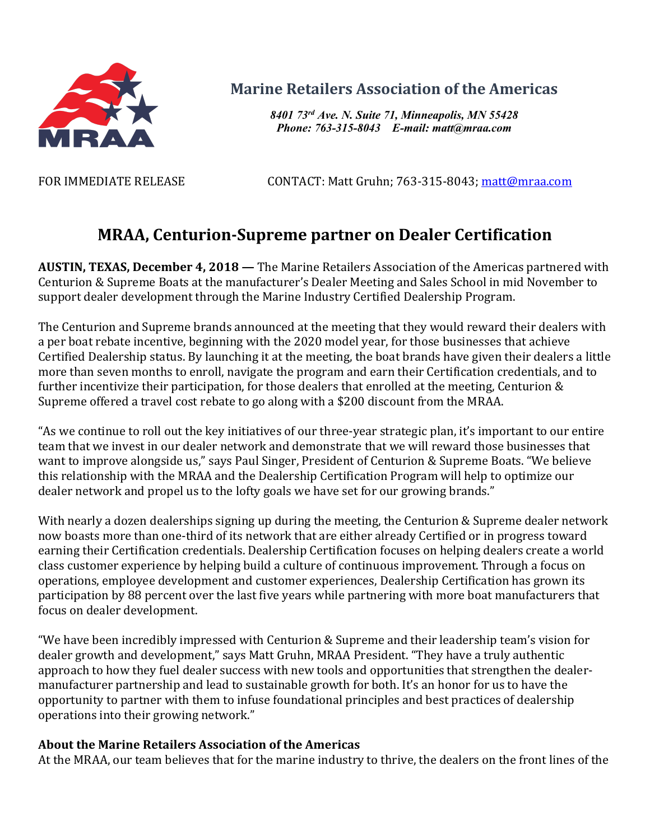

## **Marine Retailers Association of the Americas**

*8401 73rd Ave. N. Suite 71, Minneapolis, MN 55428 Phone: 763-315-8043 E-mail: matt@mraa.com*

FOR IMMEDIATE RELEASE CONTACT: Matt Gruhn; 763-315-8043; matt@mraa.com

## **MRAA, Centurion-Supreme partner on Dealer Certification**

**AUSTIN, TEXAS, December 4, 2018 — The Marine Retailers Association of the Americas partnered with** Centurion & Supreme Boats at the manufacturer's Dealer Meeting and Sales School in mid November to support dealer development through the Marine Industry Certified Dealership Program.

The Centurion and Supreme brands announced at the meeting that they would reward their dealers with a per boat rebate incentive, beginning with the 2020 model year, for those businesses that achieve Certified Dealership status. By launching it at the meeting, the boat brands have given their dealers a little more than seven months to enroll, navigate the program and earn their Certification credentials, and to further incentivize their participation, for those dealers that enrolled at the meeting, Centurion  $&$ Supreme offered a travel cost rebate to go along with a \$200 discount from the MRAA.

"As we continue to roll out the key initiatives of our three-year strategic plan, it's important to our entire team that we invest in our dealer network and demonstrate that we will reward those businesses that want to improve alongside us," says Paul Singer, President of Centurion & Supreme Boats. "We believe this relationship with the MRAA and the Dealership Certification Program will help to optimize our dealer network and propel us to the lofty goals we have set for our growing brands."

With nearly a dozen dealerships signing up during the meeting, the Centurion & Supreme dealer network now boasts more than one-third of its network that are either already Certified or in progress toward earning their Certification credentials. Dealership Certification focuses on helping dealers create a world class customer experience by helping build a culture of continuous improvement. Through a focus on operations, employee development and customer experiences, Dealership Certification has grown its participation by 88 percent over the last five years while partnering with more boat manufacturers that focus on dealer development.

"We have been incredibly impressed with Centurion & Supreme and their leadership team's vision for dealer growth and development," says Matt Gruhn, MRAA President. "They have a truly authentic approach to how they fuel dealer success with new tools and opportunities that strengthen the dealermanufacturer partnership and lead to sustainable growth for both. It's an honor for us to have the opportunity to partner with them to infuse foundational principles and best practices of dealership operations into their growing network."

## **About the Marine Retailers Association of the Americas**

At the MRAA, our team believes that for the marine industry to thrive, the dealers on the front lines of the